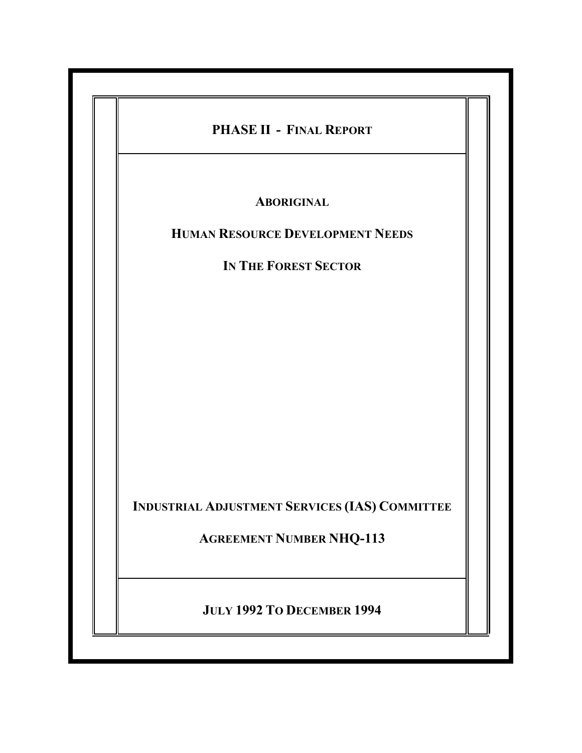| PHASE II - FINAL REPORT                               |
|-------------------------------------------------------|
| <b>ABORIGINAL</b>                                     |
| <b>HUMAN RESOURCE DEVELOPMENT NEEDS</b>               |
| IN THE FOREST SECTOR                                  |
|                                                       |
|                                                       |
|                                                       |
|                                                       |
|                                                       |
|                                                       |
|                                                       |
| <b>INDUSTRIAL ADJUSTMENT SERVICES (IAS) COMMITTEE</b> |
| <b>AGREEMENT NUMBER NHQ-113</b>                       |
|                                                       |
| JULY 1992 TO DECEMBER 1994                            |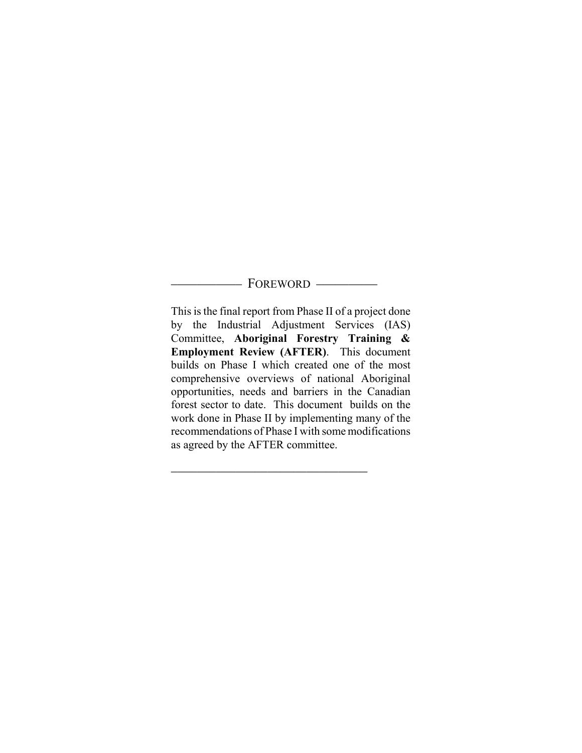#### - FOREWORD -

This is the final report from Phase II of a project done by the Industrial Adjustment Services (IAS) Committee, **Aboriginal Forestry Training & Employment Review (AFTER)**. This document builds on Phase I which created one of the most comprehensive overviews of national Aboriginal opportunities, needs and barriers in the Canadian forest sector to date. This document builds on the work done in Phase II by implementing many of the recommendations of Phase I with some modifications as agreed by the AFTER committee.

))))))))))))))))))))))))))))))Q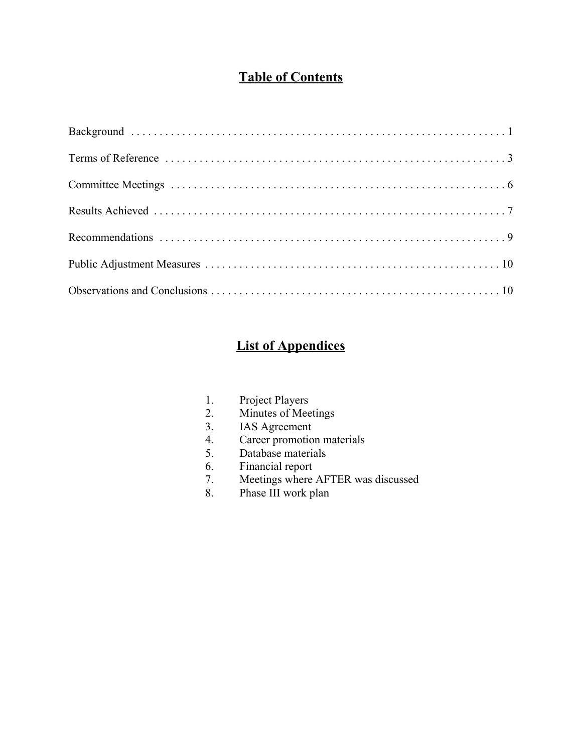## **Table of Contents**

# **List of Appendices**

- 1. Project Players
- 2. Minutes of Meetings
- 3. IAS Agreement
- 4. Career promotion materials
- 5. Database materials
- 6. Financial report<br>7. Meetings where
- Meetings where AFTER was discussed
- 8. Phase III work plan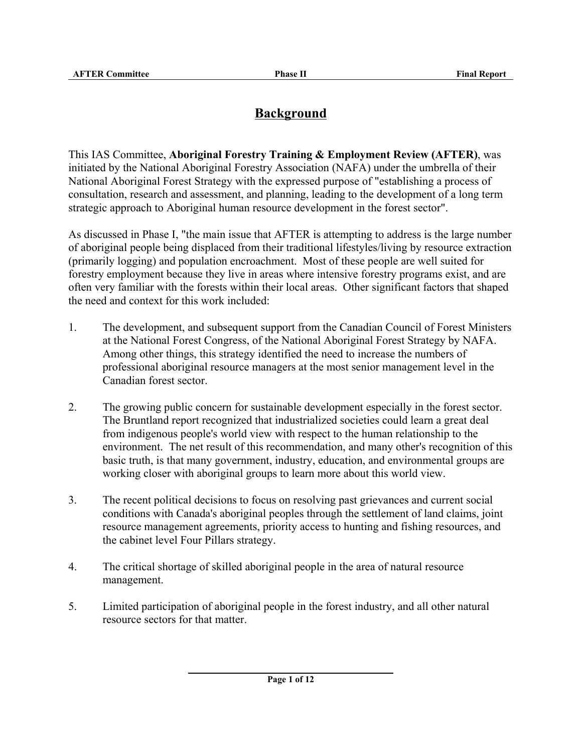## **Background**

This IAS Committee, **Aboriginal Forestry Training & Employment Review (AFTER)**, was initiated by the National Aboriginal Forestry Association (NAFA) under the umbrella of their National Aboriginal Forest Strategy with the expressed purpose of "establishing a process of consultation, research and assessment, and planning, leading to the development of a long term strategic approach to Aboriginal human resource development in the forest sector".

As discussed in Phase I, "the main issue that AFTER is attempting to address is the large number of aboriginal people being displaced from their traditional lifestyles/living by resource extraction (primarily logging) and population encroachment. Most of these people are well suited for forestry employment because they live in areas where intensive forestry programs exist, and are often very familiar with the forests within their local areas. Other significant factors that shaped the need and context for this work included:

- 1. The development, and subsequent support from the Canadian Council of Forest Ministers at the National Forest Congress, of the National Aboriginal Forest Strategy by NAFA. Among other things, this strategy identified the need to increase the numbers of professional aboriginal resource managers at the most senior management level in the Canadian forest sector.
- 2. The growing public concern for sustainable development especially in the forest sector. The Bruntland report recognized that industrialized societies could learn a great deal from indigenous people's world view with respect to the human relationship to the environment. The net result of this recommendation, and many other's recognition of this basic truth, is that many government, industry, education, and environmental groups are working closer with aboriginal groups to learn more about this world view.
- 3. The recent political decisions to focus on resolving past grievances and current social conditions with Canada's aboriginal peoples through the settlement of land claims, joint resource management agreements, priority access to hunting and fishing resources, and the cabinet level Four Pillars strategy.
- 4. The critical shortage of skilled aboriginal people in the area of natural resource management.
- 5. Limited participation of aboriginal people in the forest industry, and all other natural resource sectors for that matter.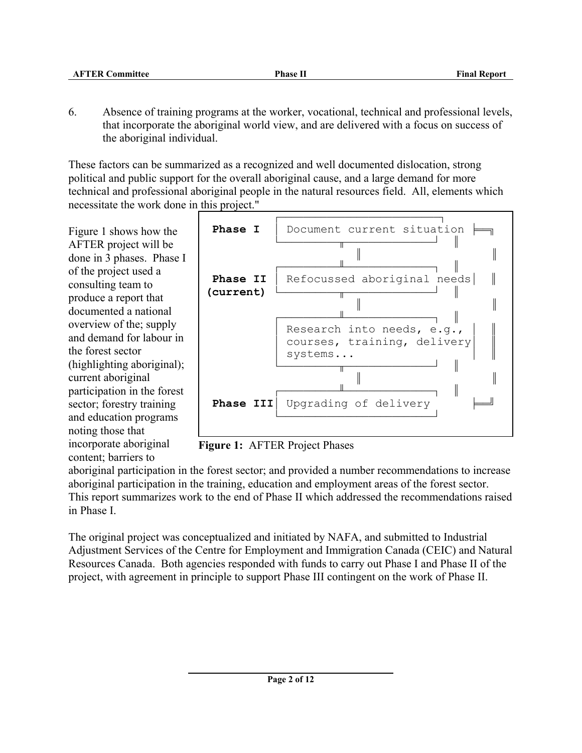6. Absence of training programs at the worker, vocational, technical and professional levels, that incorporate the aboriginal world view, and are delivered with a focus on success of the aboriginal individual.

These factors can be summarized as a recognized and well documented dislocation, strong political and public support for the overall aboriginal cause, and a large demand for more technical and professional aboriginal people in the natural resources field. All, elements which necessitate the work done in this project."

Figure 1 shows how the AFTER project will be done in 3 phases. Phase I of the project used a consulting team to produce a report that documented a national overview of the; supply and demand for labour in the forest sector (highlighting aboriginal); current aboriginal participation in the forest sector; forestry training and education programs noting those that incorporate aboriginal content; barriers to



**Figure 1:** AFTER Project Phases

aboriginal participation in the forest sector; and provided a number recommendations to increase aboriginal participation in the training, education and employment areas of the forest sector. This report summarizes work to the end of Phase II which addressed the recommendations raised in Phase I.

The original project was conceptualized and initiated by NAFA, and submitted to Industrial Adjustment Services of the Centre for Employment and Immigration Canada (CEIC) and Natural Resources Canada. Both agencies responded with funds to carry out Phase I and Phase II of the project, with agreement in principle to support Phase III contingent on the work of Phase II.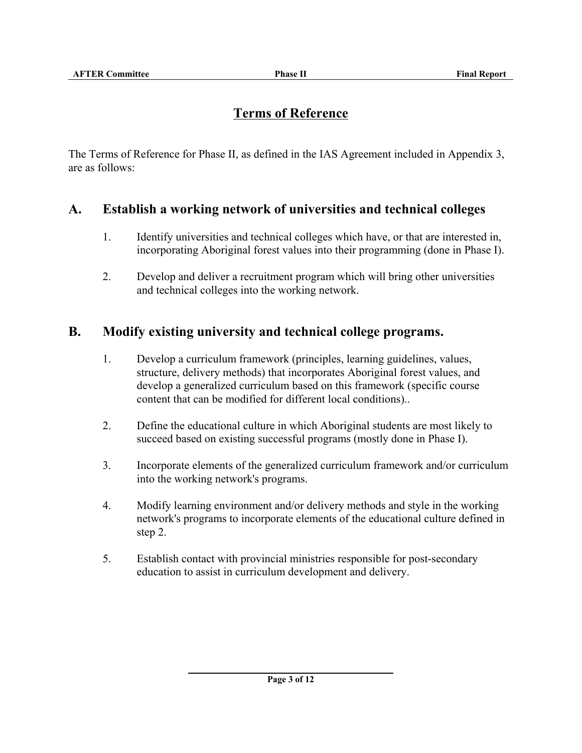## **Terms of Reference**

The Terms of Reference for Phase II, as defined in the IAS Agreement included in Appendix 3, are as follows:

#### **A. Establish a working network of universities and technical colleges**

- 1. Identify universities and technical colleges which have, or that are interested in, incorporating Aboriginal forest values into their programming (done in Phase I).
- 2. Develop and deliver a recruitment program which will bring other universities and technical colleges into the working network.

#### **B. Modify existing university and technical college programs.**

- 1. Develop a curriculum framework (principles, learning guidelines, values, structure, delivery methods) that incorporates Aboriginal forest values, and develop a generalized curriculum based on this framework (specific course content that can be modified for different local conditions)..
- 2. Define the educational culture in which Aboriginal students are most likely to succeed based on existing successful programs (mostly done in Phase I).
- 3. Incorporate elements of the generalized curriculum framework and/or curriculum into the working network's programs.
- 4. Modify learning environment and/or delivery methods and style in the working network's programs to incorporate elements of the educational culture defined in step 2.
- 5. Establish contact with provincial ministries responsible for post-secondary education to assist in curriculum development and delivery.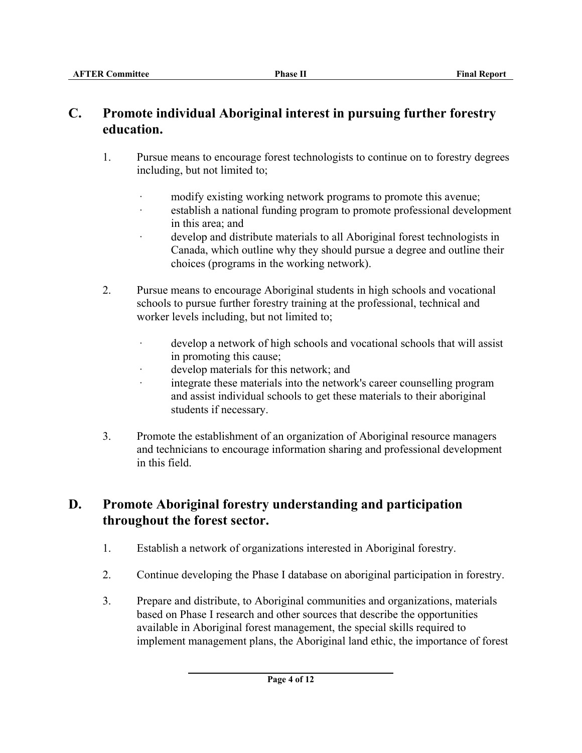## **C. Promote individual Aboriginal interest in pursuing further forestry education.**

- 1. Pursue means to encourage forest technologists to continue on to forestry degrees including, but not limited to;
	- modify existing working network programs to promote this avenue;
	- establish a national funding program to promote professional development in this area; and
	- develop and distribute materials to all Aboriginal forest technologists in Canada, which outline why they should pursue a degree and outline their choices (programs in the working network).
- 2. Pursue means to encourage Aboriginal students in high schools and vocational schools to pursue further forestry training at the professional, technical and worker levels including, but not limited to;
	- develop a network of high schools and vocational schools that will assist in promoting this cause;
	- develop materials for this network; and
	- integrate these materials into the network's career counselling program and assist individual schools to get these materials to their aboriginal students if necessary.
- 3. Promote the establishment of an organization of Aboriginal resource managers and technicians to encourage information sharing and professional development in this field.

# **D. Promote Aboriginal forestry understanding and participation throughout the forest sector.**

- 1. Establish a network of organizations interested in Aboriginal forestry.
- 2. Continue developing the Phase I database on aboriginal participation in forestry.
- 3. Prepare and distribute, to Aboriginal communities and organizations, materials based on Phase I research and other sources that describe the opportunities available in Aboriginal forest management, the special skills required to implement management plans, the Aboriginal land ethic, the importance of forest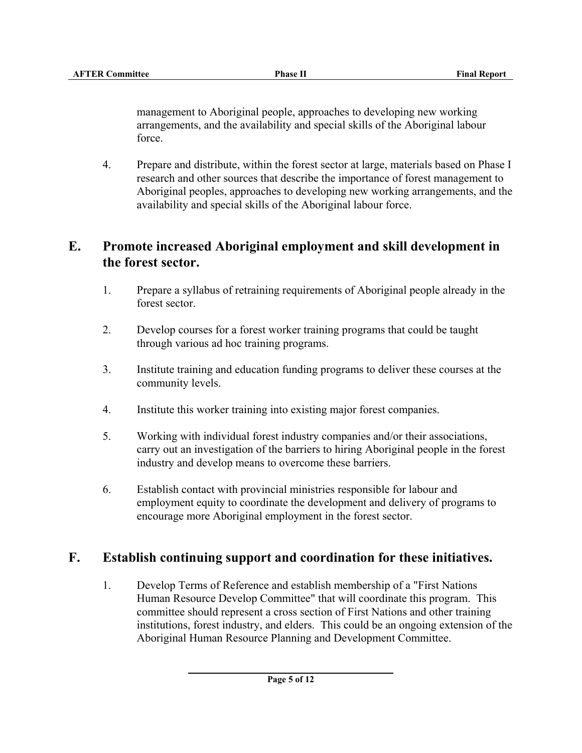management to Aboriginal people, approaches to developing new working arrangements, and the availability and special skills of the Aboriginal labour force.

4. Prepare and distribute, within the forest sector at large, materials based on Phase I research and other sources that describe the importance of forest management to Aboriginal peoples, approaches to developing new working arrangements, and the availability and special skills of the Aboriginal labour force.

### **E. Promote increased Aboriginal employment and skill development in the forest sector.**

- 1. Prepare a syllabus of retraining requirements of Aboriginal people already in the forest sector.
- 2. Develop courses for a forest worker training programs that could be taught through various ad hoc training programs.
- 3. Institute training and education funding programs to deliver these courses at the community levels.
- 4. Institute this worker training into existing major forest companies.
- 5. Working with individual forest industry companies and/or their associations, carry out an investigation of the barriers to hiring Aboriginal people in the forest industry and develop means to overcome these barriers.
- 6. Establish contact with provincial ministries responsible for labour and employment equity to coordinate the development and delivery of programs to encourage more Aboriginal employment in the forest sector.

## **F. Establish continuing support and coordination for these initiatives.**

1. Develop Terms of Reference and establish membership of a "First Nations Human Resource Develop Committee" that will coordinate this program. This committee should represent a cross section of First Nations and other training institutions, forest industry, and elders. This could be an ongoing extension of the Aboriginal Human Resource Planning and Development Committee.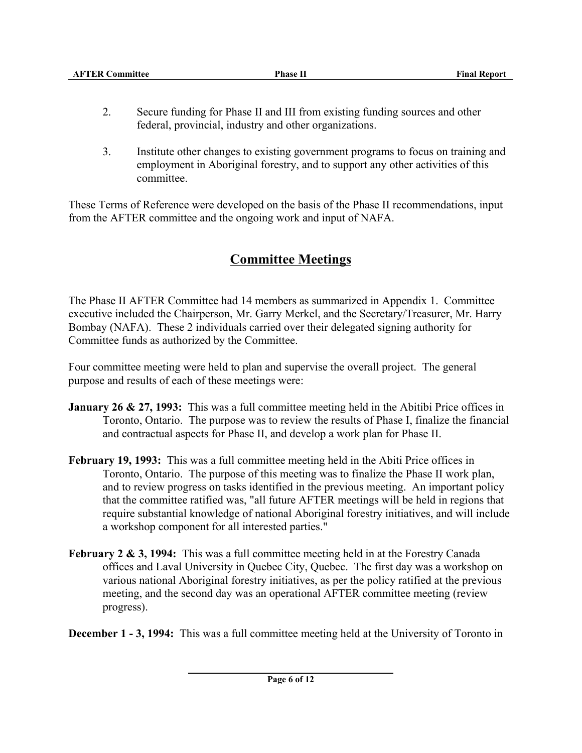| <b>AFTER Committee</b> | <b>Phase II</b> | <b>Final Report</b> |
|------------------------|-----------------|---------------------|
|                        |                 |                     |

- 2. Secure funding for Phase II and III from existing funding sources and other federal, provincial, industry and other organizations.
- 3. Institute other changes to existing government programs to focus on training and employment in Aboriginal forestry, and to support any other activities of this committee.

These Terms of Reference were developed on the basis of the Phase II recommendations, input from the AFTER committee and the ongoing work and input of NAFA.

# **Committee Meetings**

The Phase II AFTER Committee had 14 members as summarized in Appendix 1. Committee executive included the Chairperson, Mr. Garry Merkel, and the Secretary/Treasurer, Mr. Harry Bombay (NAFA). These 2 individuals carried over their delegated signing authority for Committee funds as authorized by the Committee.

Four committee meeting were held to plan and supervise the overall project. The general purpose and results of each of these meetings were:

- **January 26 & 27, 1993:** This was a full committee meeting held in the Abitibi Price offices in Toronto, Ontario. The purpose was to review the results of Phase I, finalize the financial and contractual aspects for Phase II, and develop a work plan for Phase II.
- **February 19, 1993:** This was a full committee meeting held in the Abiti Price offices in Toronto, Ontario. The purpose of this meeting was to finalize the Phase II work plan, and to review progress on tasks identified in the previous meeting. An important policy that the committee ratified was, "all future AFTER meetings will be held in regions that require substantial knowledge of national Aboriginal forestry initiatives, and will include a workshop component for all interested parties."
- **February 2 & 3, 1994:** This was a full committee meeting held in at the Forestry Canada offices and Laval University in Quebec City, Quebec. The first day was a workshop on various national Aboriginal forestry initiatives, as per the policy ratified at the previous meeting, and the second day was an operational AFTER committee meeting (review progress).

**December 1 - 3, 1994:** This was a full committee meeting held at the University of Toronto in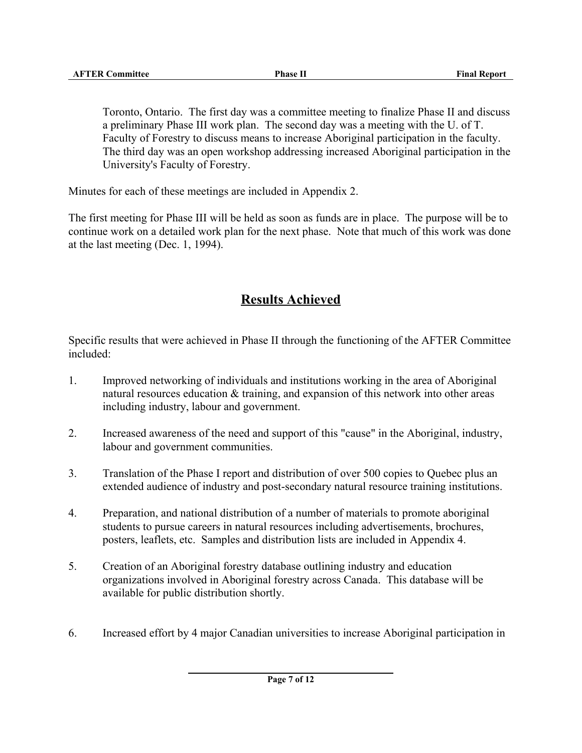Toronto, Ontario. The first day was a committee meeting to finalize Phase II and discuss a preliminary Phase III work plan. The second day was a meeting with the U. of T. Faculty of Forestry to discuss means to increase Aboriginal participation in the faculty. The third day was an open workshop addressing increased Aboriginal participation in the University's Faculty of Forestry.

Minutes for each of these meetings are included in Appendix 2.

The first meeting for Phase III will be held as soon as funds are in place. The purpose will be to continue work on a detailed work plan for the next phase. Note that much of this work was done at the last meeting (Dec. 1, 1994).

# **Results Achieved**

Specific results that were achieved in Phase II through the functioning of the AFTER Committee included:

- 1. Improved networking of individuals and institutions working in the area of Aboriginal natural resources education & training, and expansion of this network into other areas including industry, labour and government.
- 2. Increased awareness of the need and support of this "cause" in the Aboriginal, industry, labour and government communities.
- 3. Translation of the Phase I report and distribution of over 500 copies to Quebec plus an extended audience of industry and post-secondary natural resource training institutions.
- 4. Preparation, and national distribution of a number of materials to promote aboriginal students to pursue careers in natural resources including advertisements, brochures, posters, leaflets, etc. Samples and distribution lists are included in Appendix 4.
- 5. Creation of an Aboriginal forestry database outlining industry and education organizations involved in Aboriginal forestry across Canada. This database will be available for public distribution shortly.
- 6. Increased effort by 4 major Canadian universities to increase Aboriginal participation in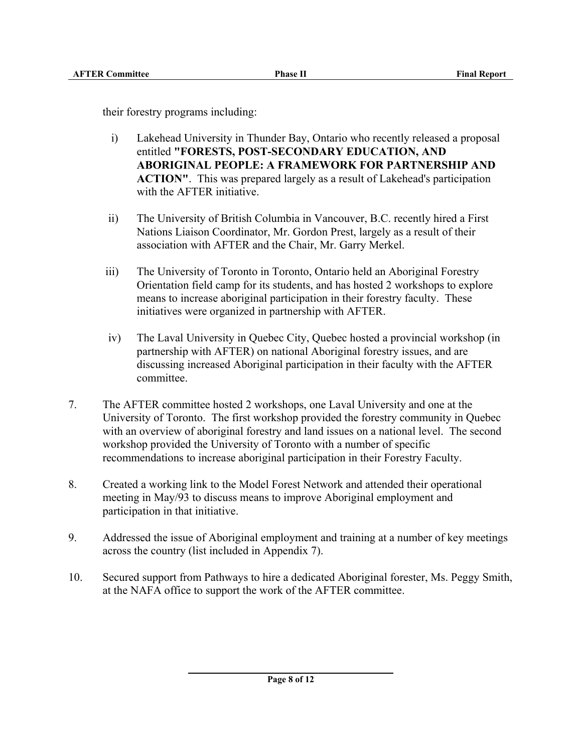their forestry programs including:

- i) Lakehead University in Thunder Bay, Ontario who recently released a proposal entitled **"FORESTS, POST-SECONDARY EDUCATION, AND ABORIGINAL PEOPLE: A FRAMEWORK FOR PARTNERSHIP AND ACTION"**. This was prepared largely as a result of Lakehead's participation with the AFTER initiative.
- ii) The University of British Columbia in Vancouver, B.C. recently hired a First Nations Liaison Coordinator, Mr. Gordon Prest, largely as a result of their association with AFTER and the Chair, Mr. Garry Merkel.
- iii) The University of Toronto in Toronto, Ontario held an Aboriginal Forestry Orientation field camp for its students, and has hosted 2 workshops to explore means to increase aboriginal participation in their forestry faculty. These initiatives were organized in partnership with AFTER.
- iv) The Laval University in Quebec City, Quebec hosted a provincial workshop (in partnership with AFTER) on national Aboriginal forestry issues, and are discussing increased Aboriginal participation in their faculty with the AFTER committee.
- 7. The AFTER committee hosted 2 workshops, one Laval University and one at the University of Toronto. The first workshop provided the forestry community in Quebec with an overview of aboriginal forestry and land issues on a national level. The second workshop provided the University of Toronto with a number of specific recommendations to increase aboriginal participation in their Forestry Faculty.
- 8. Created a working link to the Model Forest Network and attended their operational meeting in May/93 to discuss means to improve Aboriginal employment and participation in that initiative.
- 9. Addressed the issue of Aboriginal employment and training at a number of key meetings across the country (list included in Appendix 7).
- 10. Secured support from Pathways to hire a dedicated Aboriginal forester, Ms. Peggy Smith, at the NAFA office to support the work of the AFTER committee.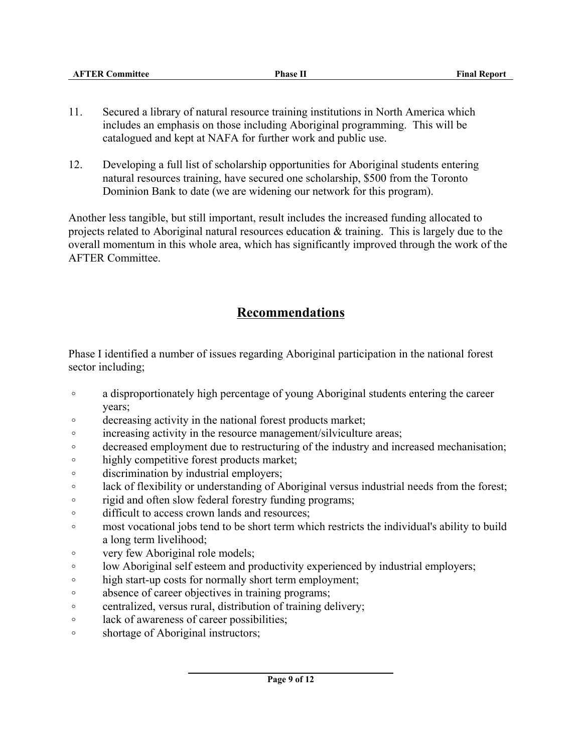| <b>AFTER Committee</b> | <b>Phase II</b> | <b>Final Report</b> |
|------------------------|-----------------|---------------------|
|                        |                 |                     |
|                        |                 |                     |
|                        |                 |                     |

- 11. Secured a library of natural resource training institutions in North America which includes an emphasis on those including Aboriginal programming. This will be catalogued and kept at NAFA for further work and public use.
- 12. Developing a full list of scholarship opportunities for Aboriginal students entering natural resources training, have secured one scholarship, \$500 from the Toronto Dominion Bank to date (we are widening our network for this program).

Another less tangible, but still important, result includes the increased funding allocated to projects related to Aboriginal natural resources education & training. This is largely due to the overall momentum in this whole area, which has significantly improved through the work of the AFTER Committee.

# **Recommendations**

Phase I identified a number of issues regarding Aboriginal participation in the national forest sector including;

- <sup>o</sup> a disproportionately high percentage of young Aboriginal students entering the career years;
- $\circ$  decreasing activity in the national forest products market;
- $\circ$  increasing activity in the resource management/silviculture areas;
- $\circ$  decreased employment due to restructuring of the industry and increased mechanisation;
- $\circ$  highly competitive forest products market;
- $\circ$  discrimination by industrial employers;
- **B lack of flexibility or understanding of Aboriginal versus industrial needs from the forest;**
- $\circ$  rigid and often slow federal forestry funding programs;
- o difficult to access crown lands and resources;
- o most vocational jobs tend to be short term which restricts the individual's ability to build a long term livelihood;
- very few Aboriginal role models;
- $\circ$  low Aboriginal self esteem and productivity experienced by industrial employers;
- $\circ$  high start-up costs for normally short term employment;
- $\circ$  absence of career objectives in training programs;
- centralized, versus rural, distribution of training delivery;
- $\circ$  lack of awareness of career possibilities;
- shortage of Aboriginal instructors;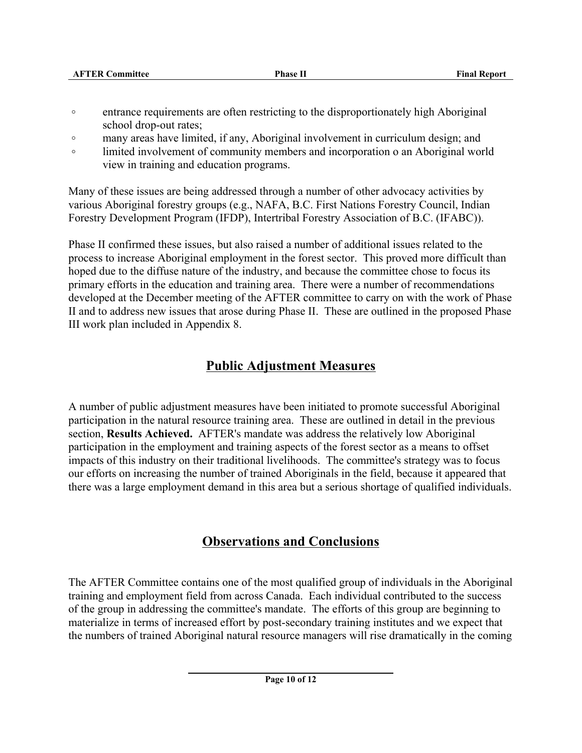| <b>AFTER Committee</b> | <b>Phase II</b> | <b>Final Report</b> |
|------------------------|-----------------|---------------------|
|                        |                 |                     |
|                        |                 |                     |

- <sup>o</sup> entrance requirements are often restricting to the disproportionately high Aboriginal school drop-out rates;
- o many areas have limited, if any, Aboriginal involvement in curriculum design; and
- <sup>o</sup> limited involvement of community members and incorporation o an Aboriginal world view in training and education programs.

Many of these issues are being addressed through a number of other advocacy activities by various Aboriginal forestry groups (e.g., NAFA, B.C. First Nations Forestry Council, Indian Forestry Development Program (IFDP), Intertribal Forestry Association of B.C. (IFABC)).

Phase II confirmed these issues, but also raised a number of additional issues related to the process to increase Aboriginal employment in the forest sector. This proved more difficult than hoped due to the diffuse nature of the industry, and because the committee chose to focus its primary efforts in the education and training area. There were a number of recommendations developed at the December meeting of the AFTER committee to carry on with the work of Phase II and to address new issues that arose during Phase II. These are outlined in the proposed Phase III work plan included in Appendix 8.

# **Public Adjustment Measures**

A number of public adjustment measures have been initiated to promote successful Aboriginal participation in the natural resource training area. These are outlined in detail in the previous section, **Results Achieved.** AFTER's mandate was address the relatively low Aboriginal participation in the employment and training aspects of the forest sector as a means to offset impacts of this industry on their traditional livelihoods. The committee's strategy was to focus our efforts on increasing the number of trained Aboriginals in the field, because it appeared that there was a large employment demand in this area but a serious shortage of qualified individuals.

# **Observations and Conclusions**

The AFTER Committee contains one of the most qualified group of individuals in the Aboriginal training and employment field from across Canada. Each individual contributed to the success of the group in addressing the committee's mandate. The efforts of this group are beginning to materialize in terms of increased effort by post-secondary training institutes and we expect that the numbers of trained Aboriginal natural resource managers will rise dramatically in the coming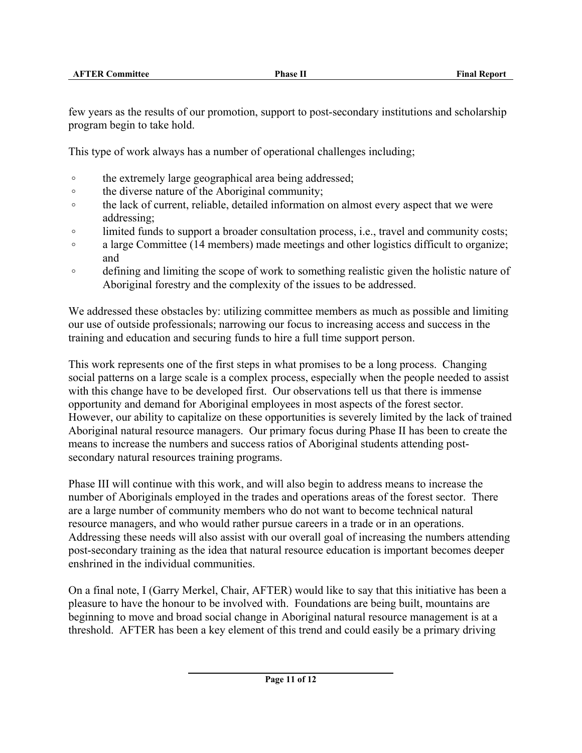few years as the results of our promotion, support to post-secondary institutions and scholarship program begin to take hold.

This type of work always has a number of operational challenges including;

- $\circ$  the extremely large geographical area being addressed;
- $\circ$  the diverse nature of the Aboriginal community;
- <sup>o</sup> the lack of current, reliable, detailed information on almost every aspect that we were addressing;
- <sup>o</sup> limited funds to support a broader consultation process, i.e., travel and community costs;
- <sup>o</sup> a large Committee (14 members) made meetings and other logistics difficult to organize; and
- <sup>o</sup> defining and limiting the scope of work to something realistic given the holistic nature of Aboriginal forestry and the complexity of the issues to be addressed.

We addressed these obstacles by: utilizing committee members as much as possible and limiting our use of outside professionals; narrowing our focus to increasing access and success in the training and education and securing funds to hire a full time support person.

This work represents one of the first steps in what promises to be a long process. Changing social patterns on a large scale is a complex process, especially when the people needed to assist with this change have to be developed first. Our observations tell us that there is immense opportunity and demand for Aboriginal employees in most aspects of the forest sector. However, our ability to capitalize on these opportunities is severely limited by the lack of trained Aboriginal natural resource managers. Our primary focus during Phase II has been to create the means to increase the numbers and success ratios of Aboriginal students attending postsecondary natural resources training programs.

Phase III will continue with this work, and will also begin to address means to increase the number of Aboriginals employed in the trades and operations areas of the forest sector. There are a large number of community members who do not want to become technical natural resource managers, and who would rather pursue careers in a trade or in an operations. Addressing these needs will also assist with our overall goal of increasing the numbers attending post-secondary training as the idea that natural resource education is important becomes deeper enshrined in the individual communities.

On a final note, I (Garry Merkel, Chair, AFTER) would like to say that this initiative has been a pleasure to have the honour to be involved with. Foundations are being built, mountains are beginning to move and broad social change in Aboriginal natural resource management is at a threshold. AFTER has been a key element of this trend and could easily be a primary driving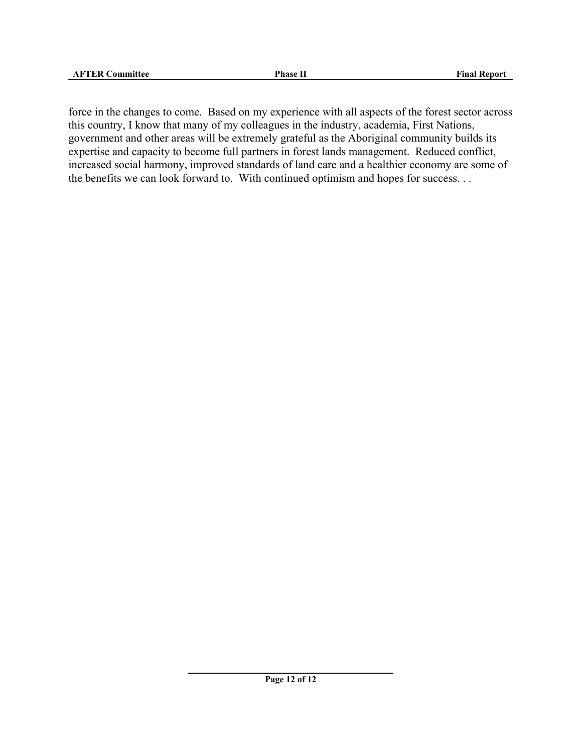force in the changes to come. Based on my experience with all aspects of the forest sector across this country, I know that many of my colleagues in the industry, academia, First Nations, government and other areas will be extremely grateful as the Aboriginal community builds its expertise and capacity to become full partners in forest lands management. Reduced conflict, increased social harmony, improved standards of land care and a healthier economy are some of the benefits we can look forward to. With continued optimism and hopes for success. . .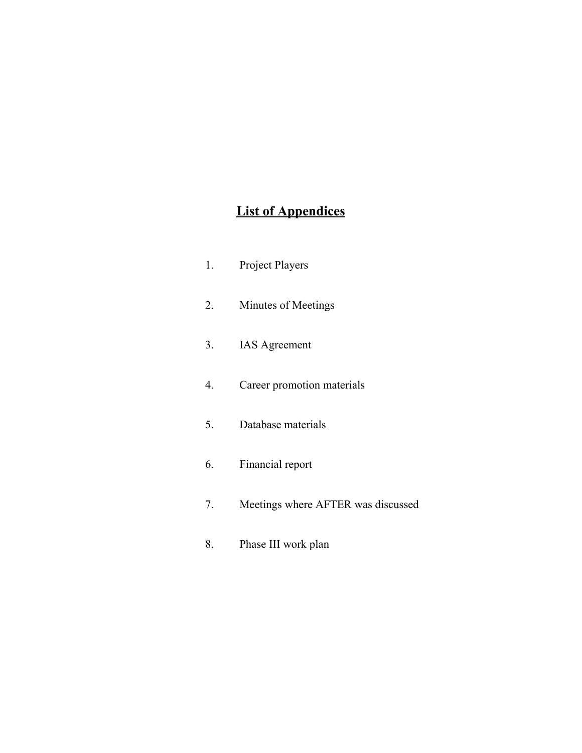# **List of Appendices**

| 1. | <b>Project Players</b>             |
|----|------------------------------------|
| 2. | Minutes of Meetings                |
| 3. | <b>IAS</b> Agreement               |
| 4. | Career promotion materials         |
| 5. | Database materials                 |
| 6. | Financial report                   |
| 7. | Meetings where AFTER was discussed |
| 8. | Phase III work plan                |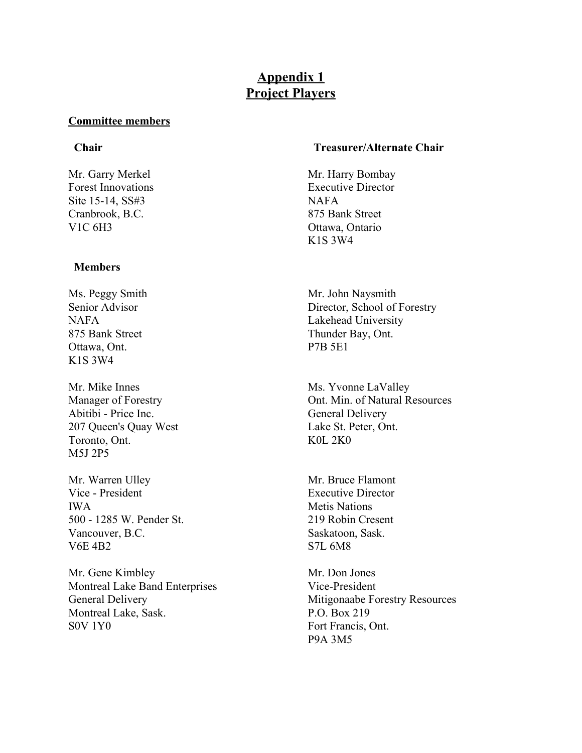## **Appendix 1 Project Players**

#### **Committee members**

Site 15-14, SS#3 NAFA Cranbrook, B.C. 875 Bank Street V1C 6H3 Ottawa, Ontario

#### **Members**

Ms. Peggy Smith Senior Advisor **NAFA** 875 Bank Street Ottawa, Ont. K1S 3W4

Mr. Mike Innes Manager of Forestry Abitibi - Price Inc. 207 Queen's Quay West Toronto, Ont. M5J 2P5

Mr. Warren Ulley Vice - President IWA 500 - 1285 W. Pender St. Vancouver, B.C. V6E 4B2

Mr. Gene Kimbley Montreal Lake Band Enterprises General Delivery Montreal Lake, Sask. S0V 1Y0

#### **Chair Treasurer/Alternate Chair**

Mr. Garry Merkel Mr. Harry Bombay Forest Innovations Executive Director K1S 3W4

> Mr. John Naysmith Director, School of Forestry Lakehead University Thunder Bay, Ont. P7B 5E1

Ms. Yvonne LaValley Ont. Min. of Natural Resources General Delivery Lake St. Peter, Ont. K0L 2K0

Mr. Bruce Flamont Executive Director Metis Nations 219 Robin Cresent Saskatoon, Sask. S7L 6M8

Mr. Don Jones Vice-President Mitigonaabe Forestry Resources P.O. Box 219 Fort Francis, Ont. P9A 3M5